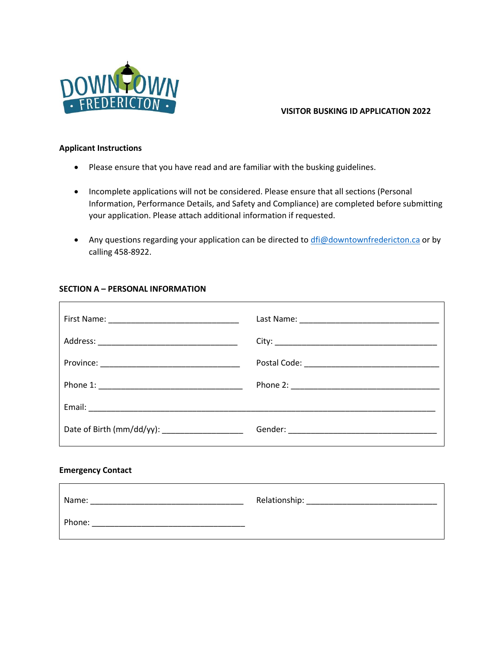

## **VISITOR BUSKING ID APPLICATION 2022**

#### **Applicant Instructions**

- Please ensure that you have read and are familiar with the busking guidelines.
- Incomplete applications will not be considered. Please ensure that all sections (Personal Information, Performance Details, and Safety and Compliance) are completed before submitting your application. Please attach additional information if requested.
- Any questions regarding your application can be directed to [dfi@downtownfredericton.ca](mailto:dfi@downtownfredericton.ca) or by calling 458-8922.

# **SECTION A – PERSONAL INFORMATION**

| Date of Birth (mm/dd/yy): ______________________ |  |
|--------------------------------------------------|--|
| Emarganau Cantact                                |  |

#### **Emergency Contact**

 $\Gamma$ 

| Name:  | Relationship: |
|--------|---------------|
| Phone: |               |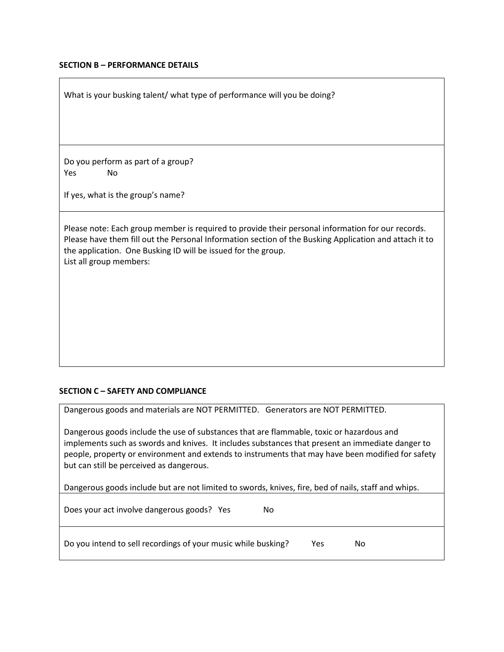#### **SECTION B – PERFORMANCE DETAILS**

What is your busking talent/ what type of performance will you be doing?

Do you perform as part of a group? Yes No

If yes, what is the group's name?

Please note: Each group member is required to provide their personal information for our records. Please have them fill out the Personal Information section of the Busking Application and attach it to the application. One Busking ID will be issued for the group. List all group members:

## **SECTION C – SAFETY AND COMPLIANCE**

Dangerous goods and materials are NOT PERMITTED. Generators are NOT PERMITTED.

Dangerous goods include the use of substances that are flammable, toxic or hazardous and implements such as swords and knives. It includes substances that present an immediate danger to people, property or environment and extends to instruments that may have been modified for safety but can still be perceived as dangerous.

Dangerous goods include but are not limited to swords, knives, fire, bed of nails, staff and whips.

| Does your act involve dangerous goods? Yes                    | No |     |    |
|---------------------------------------------------------------|----|-----|----|
| Do you intend to sell recordings of your music while busking? |    | Yes | No |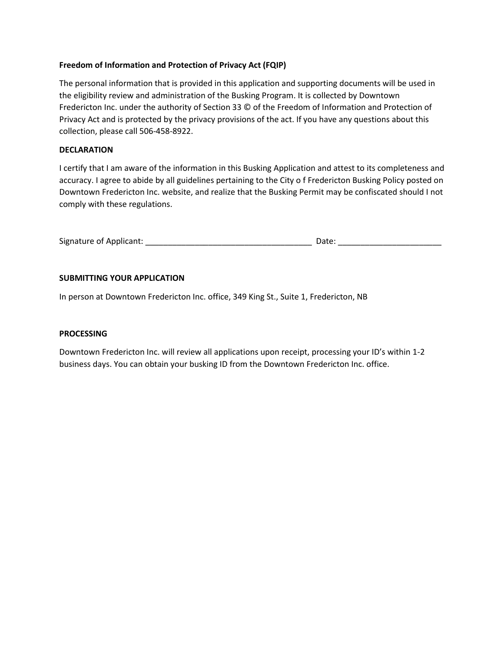## **Freedom of Information and Protection of Privacy Act (FQIP)**

The personal information that is provided in this application and supporting documents will be used in the eligibility review and administration of the Busking Program. It is collected by Downtown Fredericton Inc. under the authority of Section 33 © of the Freedom of Information and Protection of Privacy Act and is protected by the privacy provisions of the act. If you have any questions about this collection, please call 506-458-8922.

## **DECLARATION**

I certify that I am aware of the information in this Busking Application and attest to its completeness and accuracy. I agree to abide by all guidelines pertaining to the City o f Fredericton Busking Policy posted on Downtown Fredericton Inc. website, and realize that the Busking Permit may be confiscated should I not comply with these regulations.

| Signature of Applicant: | Date: |
|-------------------------|-------|
|-------------------------|-------|

## **SUBMITTING YOUR APPLICATION**

In person at Downtown Fredericton Inc. office, 349 King St., Suite 1, Fredericton, NB

## **PROCESSING**

Downtown Fredericton Inc. will review all applications upon receipt, processing your ID's within 1-2 business days. You can obtain your busking ID from the Downtown Fredericton Inc. office.